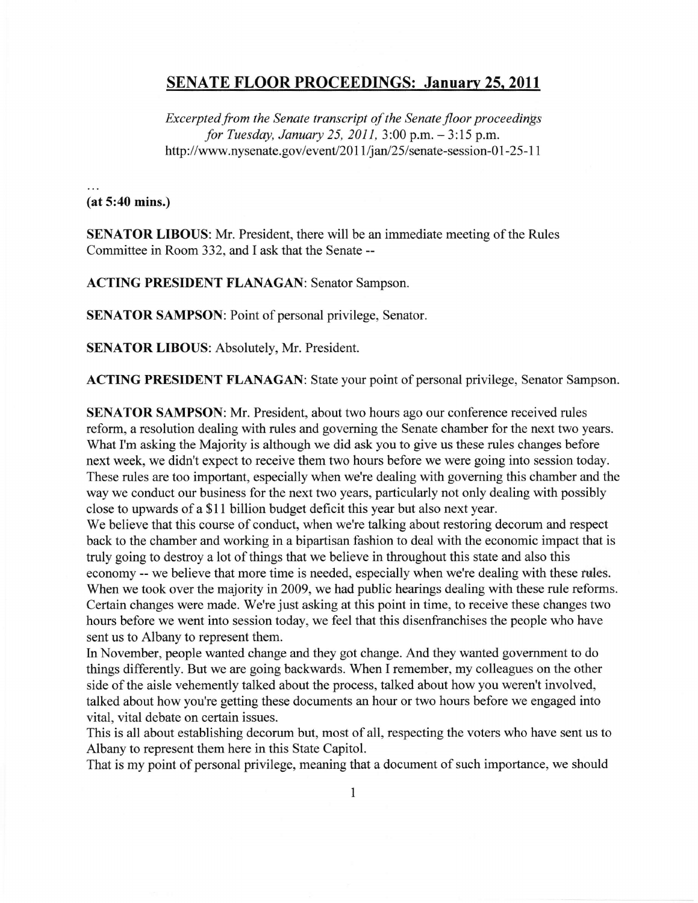## SENATE FLOOR PROCEEDINGS: Januarv 25. 2011

Excerpted from the Senate transcript of the Senate floor proceedings for Tuesday, January 25, 2011, 3:00 p.m. - 3:15 p.m. http://www.nysenate.gov/event/2011/jan/25/senate-session-01-25-11

 $(at 5:40 mins.)$ 

SENATOR LIBOUS: Mr. President, there will be an immediate meeting of the Rules Committee in Room 332, and I ask that the Senate --

ACTING PRESIDENT FLANAGAN: Senator Sampson.

SENATOR SAMPSON: Point of personal privilege, Senator.

SENATOR LIBOUS: Absolutely, Mr. President.

ACTING PRESIDENT FLANAGAN: State your point of personal privilege, Senator Sampson.

SENATOR SAMPSON: Mr. President, about two hours ago our conference received rules reform, a resolution dealing with rules and governing the Senate chamber for the next two years. What I'm asking the Majority is although we did ask you to give us these rules changes before next week, we didn't expect to receive them two hours before we were going into session today. These rules are too important, especially when we're dealing with governing this chamber and the way we conduct our business for the next two years, particularly not only dealing with possibly close to upwards of a \$11 billion budget deficit this year but also next year.

We believe that this course of conduct, when we're talking about restoring decorum and respect back to the chamber and working in a bipartisan fashion to deal with the economic impact that is truly going to destroy a lot of things that we believe in throughout this state and also this economy -- we believe that more time is needed, especially when we're dealing with these tules. When we took over the majority in 2009, we had public hearings dealing with these rule reforms. Certain changes were made. We're just asking at this point in time, to receive these changes two hours before we went into session today, we feel that this disenfranchises the people who have sent us to Albany to represent them.

In November, people wanted change and they got change. And they wanted government to do things differently. But we are going backwards. When I remember, my colleagues on the other side of the aisle vehemently talked about the process, talked about how you weren't involved, talked about how you're getting these documents an hour or two hours before we engaged into vital, vital debate on certain issues.

This is all about establishing decorum but, most of all, respecting the voters who have sent us to Albany to represent them here in this State Capitol.

That is my point of personal privilege, meaning that a document of such importance, we should